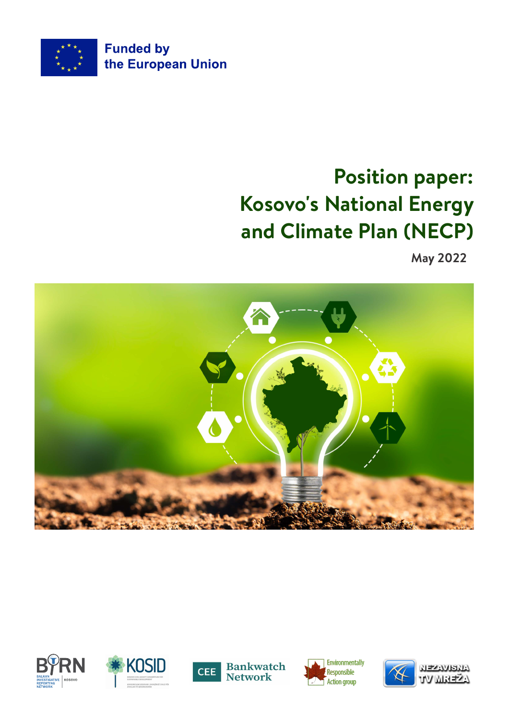

# **Position paper: Kosovo's National Energy and Climate Plan (NECP)**

**May 2022**











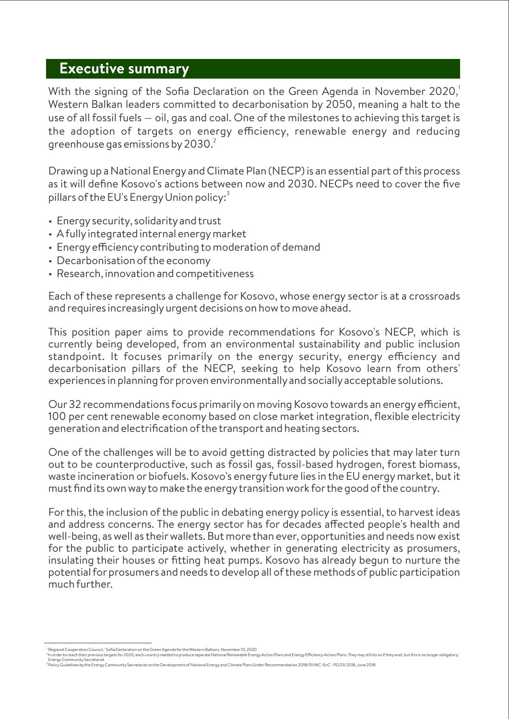### **Executive summary**

With the signing of the Sofia Declaration on the Green Agenda in November 2020. Western Balkan leaders committed to decarbonisation by 2050, meaning a halt to the use of all fossil fuels — oil, gas and coal. One of the milestones to achieving this target is the adoption of targets on energy efficiency, renewable energy and reducing greenhouse gas emissions by 2030. $^2$ 

Drawing up a National Energy and Climate Plan (NECP) is an essential part of this process as it will define Kosovo's actions between now and 2030. NECPs need to coverthe five pillars of the EU's Energy Union policy: $^3$ 

- Energysecurity, solidarityand trust
- A fullyintegrated internal energymarket
- Energy efficiency contributing to moderation of demand
- Decarbonisation of the economy
- Research, innovation and competitiveness

Each of these represents a challenge for Kosovo, whose energy sectoris at a crossroads and requires increasingly urgent decisions on how to move ahead.

This position paper aims to provide recommendations for Kosovo's NECP, which is currently being developed, from an environmental sustainability and public inclusion standpoint. It focuses primarily on the energy security, energy efficiency and decarbonisation pillars of the NECP, seeking to help Kosovo learn from others' experiences in planning for proven environmentally and socially acceptable solutions.

Our 32 recommendations focus primarily on moving Kosovo towards an energy efficient, 100 per cent renewable economy based on close market integration, flexible electricity generation and electrification of the transport and heating sectors.

One of the challenges will be to avoid getting distracted by policies that may later turn out to be counterproductive, such as fossil gas, fossil-based hydrogen, forest biomass, waste incineration or biofuels. Kosovo's energyfuture lies in the EU energy market, but it must find its own wayto make the energytransition work forthe good of the country.

Forthis, the inclusion of the public in debating energy policy is essential, to harvest ideas and address concerns. The energy sector has for decades affected people's health and well-being, as well as their wallets. But more than ever, opportunities and needs now exist for the public to participate actively, whether in generating electricity as prosumers, insulating their houses or fitting heat pumps. Kosovo has already begun to nurture the potential for prosumers and needs to develop all of these methods of public participation much further.

Regional Cooperation Council, "Sofia Declaration on the Green Agenda forthe Western Balkans, November10, 2020 <sup>1</sup> 2

In order to reach their previous targets for 2020, each country needed to produce separate National Renewable Energy Action Plans and Energy Efficiency Action Plans. They may still do so if they wish, but this is no longer

<sup>&</sup>lt;sup>3</sup>Policy Guidelines by the Energy Community Secretariat on the Development of National Energy and Climate Plans Under Recommendation 2018/01/MC-EnC - PG 03/2018, June 2018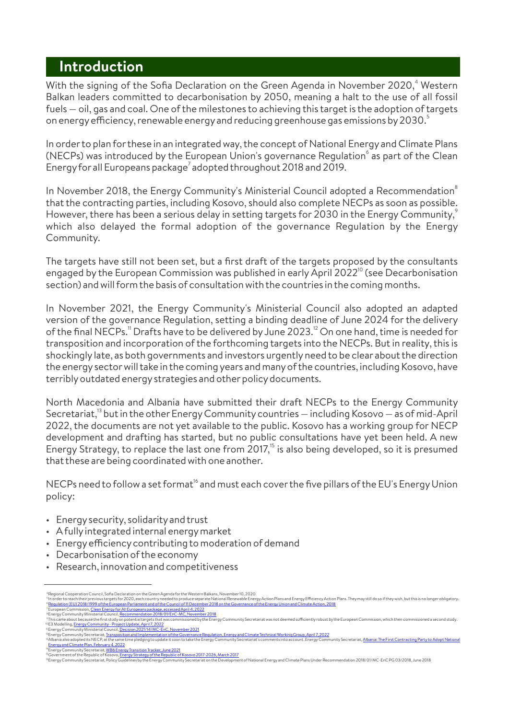### **Introduction**

With the signing of the Sofia Declaration on the Green Agenda in November 2020,<sup>4</sup> Western Balkan leaders committed to decarbonisation by 2050, meaning a halt to the use of all fossil fuels — oil, gas and coal. One of the milestones to achieving this target is the adoption of targets on energy efficiency, renewable energy and reducing greenhouse gas emissions by 2030. $^{\circ}$ 

In orderto plan forthese in an integrated way, the concept of National Energy and Climate Plans (NECPs) was introduced by the European Union's governance Regulation $^\circ$  as part of the Clean Energy for all Europeans package<sup>7</sup> adopted throughout 2018 and 2019.

In November 2018, the Energy Community's Ministerial Council adopted a Recommendation $^\circ$ that the contracting parties, including Kosovo, should also complete NECPs as soon as possible. However, there has been a serious delay in setting targets for 2030 in the Energy Community,<sup>5</sup> which also delayed the formal adoption of the governance Regulation by the Energy Community.

The targets have still not been set, but a first draft of the targets proposed by the consultants engaged by the European Commission was published in early April 2022<sup>10</sup> (see Decarbonisation section) and will form the basis of consultation with the countries in the coming months.

In November 2021, the Energy Community's Ministerial Council also adopted an adapted version of the governance Regulation, setting a binding deadline of June 2024 forthe delivery of the final NECPs." Drafts have to be delivered by June 2023. $^{\scriptscriptstyle 12}$  On one hand, time is needed for transposition and incorporation of the forthcoming targets into the NECPs. But in reality, this is shockingly late, as both governments and investors urgentlyneed to be clear about the direction the energysectorwill take in the coming years and manyof the countries, including Kosovo, have terribly outdated energy strategies and other policy documents.

North Macedonia and Albania have submitted their draft NECPs to the Energy Community Secretariat,<sup>13</sup> but in the other Energy Community countries — including Kosovo — as of mid-April 2022, the documents are not yet available to the public. Kosovo has a working group for NECP development and drafting has started, but no public consultations have yet been held. A new Energy Strategy, to replace the last one from  $2017$ ,<sup>15</sup> is also being developed, so it is presumed that these are being coordinated with one another.

NECPs need to follow a set format<sup>16</sup> and must each cover the five pillars of the EU's Energy Union policy:

- Energysecurity, solidarityand trust
- A fullyintegrated internal energymarket
- Energy efficiency contributing to moderation of demand
- Decarbonisation of the economy
- Research, innovation and competitiveness

<sup>&</sup>lt;sup>4</sup>Regional Cooperation Council, Sofia Declaration on the Green Agenda for the Western Balkans, November 10, 2020<br><sup>5</sup> In order to reach their previous targets for 2020, each country needed to produce separate National Rene

In order to reach their previous targets for 2020, each country needed to produce separate National Renewable Energy Action Plans and Energy Efficiency Action Plans. They may still do so if they wish, but this is no longer

<sup>&</sup>lt;sup>8</sup> Energy Community Ministerial Council<u>, Recommendation 2018/01/EnC-MC, November 2018</u> <sup>7</sup> European Commission, <u>Clean Energy for All Europeans package, accessed April 4, 2022</u>

This came about because the first study on potential targets that was commissioned by the Energy Community Secretariat was not deemed sufficiently robust by the European Commission, which then commissioned a second study. EnergyCommunityMinisterial Council, Decision 2021/14/MC-EnC, November2021 E3 Modelling, EnergyCommunity- Project Update, April 7, 2022 9 10 11 12 13

Energy Community Secretariat, <u>Transposition and Implementation of the Governance Regulation, Energy and Climate Technical Working Group, April 7, 2022</u>

Albania also adopted its NECP, at the same time pledging to update it soon to take the Energy Community Secretariat's comments into account. Energy Community Secretariat, <u>Albania: The First Contracting Party to Adopt Nati</u>

Energy Community Secretariat, <u>WB6 Energy Transition Tracker, June 2021</u><br>Government of the Republic of Kosovo, <u>Energy Strategy of the Republic of Kosovo 2017-2026, March 2017</u> 14 15 16

EnergyCommunitySecretariat, PolicyGuidelines bythe EnergyCommunitySecretariat on the Development of National Energyand Climate Plans UnderRecommendation 2018/01/MC-EnC PG 03/2018, June 2018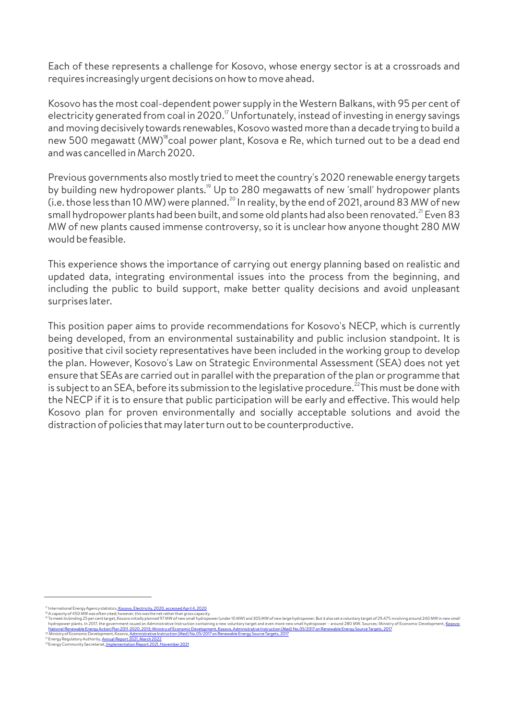Each of these represents a challenge for Kosovo, whose energy sector is at a crossroads and requires increasinglyurgent decisions on how to move ahead.

Kosovo has the most coal-dependent power supply in the Western Balkans, with 95 per cent of electricity generated from coal in 2020.<sup> $\frac{1}{2}$ </sup> Unfortunately, instead of investing in energy savings and moving decisivelytowards renewables, Kosovo wasted more than a decade trying to build a new 500 megawatt (MW)<sup>18</sup> coal power plant, Kosova e Re, which turned out to be a dead end and was cancelled in March 2020.

Previous governments also mostly tried to meet the country's 2020 renewable energy targets by building new hydropower plants.<sup>19</sup> Up to 280 megawatts of new 'small' hydropower plants  $(i.e.$  those less than 10 MW) were planned.<sup>20</sup> In reality, by the end of 2021, around 83 MW of new small hydropower plants had been built, and some old plants had also been renovated.<sup>21</sup> Even 83 MW of new plants caused immense controversy, so it is unclear how anyone thought 280 MW would be feasible.

This experience shows the importance of carrying out energy planning based on realistic and updated data, integrating environmental issues into the process from the beginning, and including the public to build support, make better quality decisions and avoid unpleasant surprises later.

This position paper aims to provide recommendations for Kosovo's NECP, which is currently being developed, from an environmental sustainability and public inclusion standpoint. It is positive that civil society representatives have been included in the working group to develop the plan. However, Kosovo's Law on Strategic Environmental Assessment (SEA) does not yet ensure that SEAs are carried out in parallel with the preparation of the plan or programme that is subject to an SEA, before its submission to the legislative procedure.<sup>22</sup>This must be done with the NECP if it is to ensure that public participation will be early and effective. This would help Kosovo plan for proven environmentally and socially acceptable solutions and avoid the distraction of policies that maylaterturn out to be counterproductive.

Ministry of Economic Development, Kosovo, <u>Administrative Instruction (Med) No.05/2017 on Renewable Energy Source Targets, 2017</u> 20 21 22

International Energy Agency statistics<u>, Kosovo, Electricity, 2020, accessed April 4, 2020</u>

To meet its binding 25 per cent target, Kosovo initially planned 97 MW of new small hydropower (under 10 MW) and 305 MW of new large hydropower. But it also set a voluntary target of 29.47% involving around 240 MW in new s A capacityof 450 MW was often cited; however, this was the net ratherthan gross capacity. 17 18 19

Energy Regulatory Authority, <u>Annual Report 2021, March 2022</u><br>Energy Community Secretariat<u>, Implementation Report 2021, November 2021</u>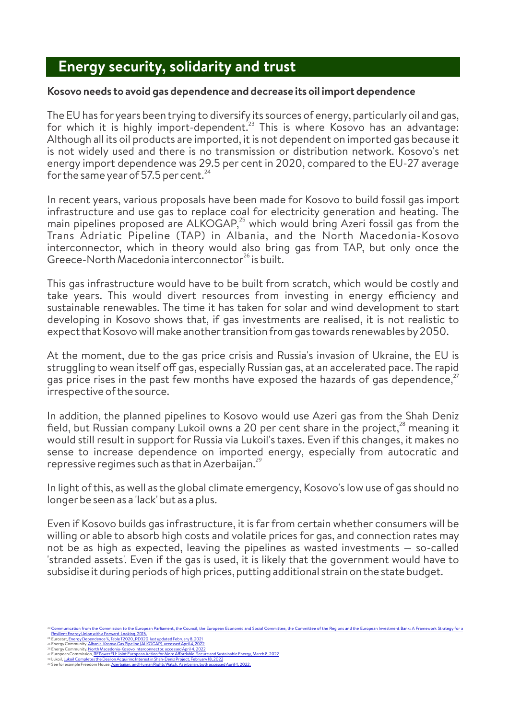# **Energy security, solidarity and trust**

### **Kosovo needs to avoid gas dependence and decrease its oil import dependence**

The EU has for years been trying to diversify its sources of energy, particularlyoil and gas, for which it is highly import-dependent.<sup>23</sup> This is where Kosovo has an advantage: Although all its oil products are imported, it is not dependent on imported gas because it is not widely used and there is no transmission or distribution network. Kosovo's net energy import dependence was 29.5 per cent in 2020, compared to the EU-27 average for the same year of 57.5 per cent.  $^{24}$ 

In recent years, various proposals have been made for Kosovo to build fossil gas import infrastructure and use gas to replace coal for electricity generation and heating. The main pipelines proposed are ALKOGAP,<sup>25</sup> which would bring Azeri fossil gas from the Trans Adriatic Pipeline (TAP) in Albania, and the North Macedonia-Kosovo interconnector, which in theory would also bring gas from TAP, but only once the Greece-North Macedonia interconnector $^{26}$  is built.

This gas infrastructure would have to be built from scratch, which would be costly and take years. This would divert resources from investing in energy efficiency and sustainable renewables. The time it has taken for solar and wind development to start developing in Kosovo shows that, if gas investments are realised, it is not realistic to expect that Kosovo will make another transition from gas towards renewables by 2050.

At the moment, due to the gas price crisis and Russia's invasion of Ukraine, the EU is struggling to wean itself off gas, especially Russian gas, at an accelerated pace. The rapid gas price rises in the past few months have exposed the hazards of gas dependence, $27$ irrespective of the source.

In addition, the planned pipelines to Kosovo would use Azeri gas from the Shah Deniz field, but Russian company Lukoil owns a 20 per cent share in the project,<sup>28</sup> meaning it would still result in support for Russia via Lukoil's taxes. Even if this changes, it makes no sense to increase dependence on imported energy, especially from autocratic and repressive regimes such as that in Azerbaijan. $^{29}$ 

In light of this, as well as the global climate emergency, Kosovo's low use of gas should no longerbe seen as a 'lack' but as a plus.

Even if Kosovo builds gas infrastructure, it is farfrom certain whether consumers will be willing or able to absorb high costs and volatile prices for gas, and connection rates may not be as high as expected, leaving the pipelines as wasted investments — so-called 'stranded assets'. Even if the gas is used, it is likely that the government would have to subsidise it during periods of high prices, putting additional strain on the state budget.

nication from the Commission to the European Parliament, the Council, the European Economic and Social Committee, the Committee of the Regions and the European Investment Bank: A Framework Strategy for a

- Resilient Energy Union with a Forward-Looking, 2015.<br><sup>24</sup> Eurostat, Energy Dependence %, Table T2020\_RD320, last updated February 8, 2021 Eurostat, <u>Energy Dependence %, Table T2020\_RD320, last updated February 8, 2021</u><br>Energy Community, <u>Albania-Kosovo Gas Pipeline (ALKOGAP), accessed April 4, 2022</u>
- EnergyCommunity, North Macedonia-Kosovo Interconnector, accessed April 4, 2022 24 25 26 27 28 29

Lukoil<u>, Lukoil Completes the Deal on Acquiring Interest in Shah-Deniz Project, February 18, 2022</u><br>See for example Freedom House, <u>Azerbaijan, and Human Rights Watch, Azerbaijan, both accessed April 4, 2022.</u> European Commission, <u>REPowerEU: Joint European Action for More Affordable, Secure and Sustainable Energy, March 8, 2022</u>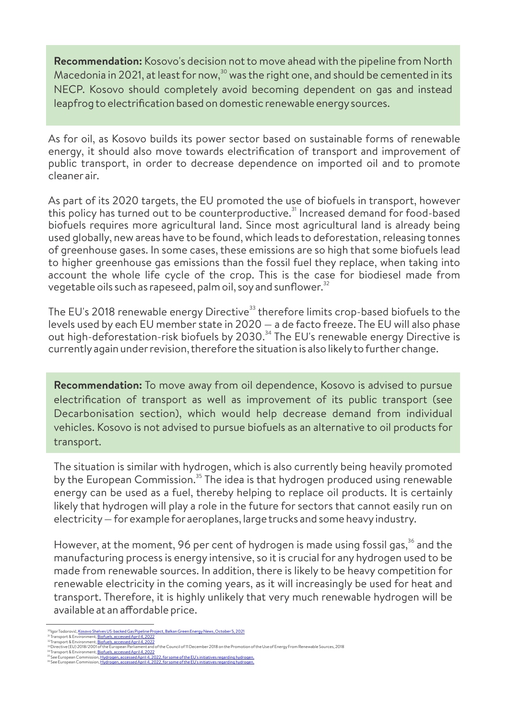**Recommendation:** Kosovo's decision not to move ahead with the pipeline from North Macedonia in 2021, at least for now, $30$  was the right one, and should be cemented in its NECP. Kosovo should completely avoid becoming dependent on gas and instead leapfrog to electrification based on domestic renewable energysources.

As for oil, as Kosovo builds its power sector based on sustainable forms of renewable energy, it should also move towards electrification of transport and improvement of public transport, in order to decrease dependence on imported oil and to promote cleaner air.

As part of its 2020 targets, the EU promoted the use of biofuels in transport, however this policy has turned out to be counterproductive.<sup>31</sup> Increased demand for food-based biofuels requires more agricultural land. Since most agricultural land is already being used globally, new areas have to be found, which leads to deforestation, releasing tonnes of greenhouse gases. In some cases, these emissions are so high that some biofuels lead to higher greenhouse gas emissions than the fossil fuel they replace, when taking into account the whole life cycle of the crop. This is the case for biodiesel made from vegetable oils such as rapeseed, palm oil, soy and sunflower. $^{\rm 32}$ 

The EU's 2018 renewable energy Directive<sup>33</sup> therefore limits crop-based biofuels to the levels used by each EU member state in 2020 — a de facto freeze. The EU will also phase out high-deforestation-risk biofuels by 2030.<sup>34</sup> The EU's renewable energy Directive is currentlyagain underrevision, therefore the situation is also likelyto furtherchange.

**Recommendation:** To move away from oil dependence, Kosovo is advised to pursue electrification of transport as well as improvement of its public transport (see Decarbonisation section), which would help decrease demand from individual vehicles. Kosovo is not advised to pursue biofuels as an alternative to oil products for transport.

The situation is similar with hydrogen, which is also currently being heavily promoted by the European Commission.<sup>35</sup> The idea is that hydrogen produced using renewable energy can be used as a fuel, thereby helping to replace oil products. It is certainly likely that hydrogen will play a role in the future for sectors that cannot easily run on electricity— forexample for aeroplanes, large trucks and some heavyindustry.

However, at the moment, 96 per cent of hydrogen is made using fossil gas,<sup>36</sup> and the manufacturing process is energy intensive, so it is crucial for any hydrogen used to be made from renewable sources. In addition, there is likely to be heavy competition for renewable electricity in the coming years, as it will increasingly be used for heat and transport. Therefore, it is highly unlikely that very much renewable hydrogen will be available at an affordable price.

Igor Todorović, <u>Kosovo Shelves US-backed Gas Pipeline Project, Balkan Green Energy News, October 5, 2021</u>

Transport & Environment, <mark>Biofuels, accessed April 4, 2022</mark> Transport & Environment, <u>Biofuels, accessed April 4, 2022</u><br>Directive (EU) 2018/2001 of the European Parliament and of the Council of 11 December 2018 on the Promotion of the Use of Energy From Renewable Sources, 2018 <sup>38</sup> Igar Todorović<u>, Kosovo Shelves US-backed Gas Pipeline Pre</u><br><sup>32</sup> Transport & Environment, <u>Biofuels, accessed April 4, 2022</u><br><sup>32</sup> Transport & Environment, <u>Biofuels, accessed April 4, 2022</u><br><sup>33</sup> Transport & Environme

See European Commission, <u>Hydrogen, accessed April 4, 2022, for some of the EU's initiatives regarding hydrogen.</u><br>See European Commission, <u>Hydrogen, accessed April 4, 2022, for some of the EU's initiatives regarding hydro</u>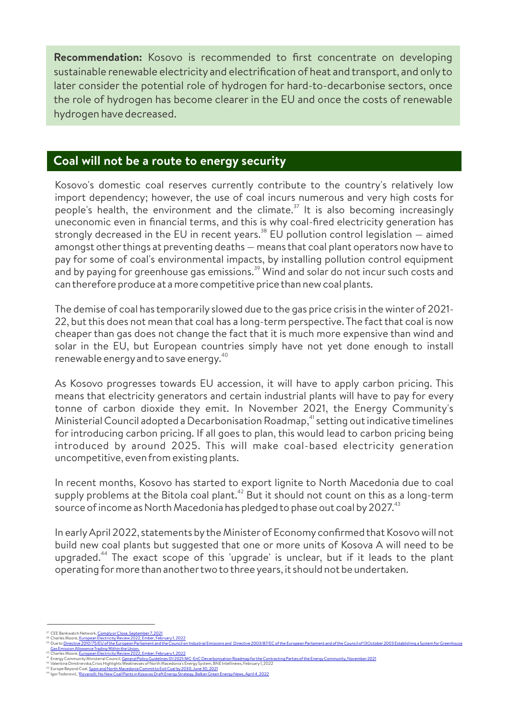**Recommendation:** Kosovo is recommended to first concentrate on developing sustainable renewable electricity and electrification of heat and transport, and onlyto later consider the potential role of hydrogen for hard-to-decarbonise sectors, once the role of hydrogen has become clearer in the EU and once the costs of renewable hydrogen have decreased.

### **Coal will not be a route to energy security**

Kosovo's domestic coal reserves currently contribute to the country's relatively low import dependency; however, the use of coal incurs numerous and very high costs for people's health, the environment and the climate.<sup> $37$ </sup> It is also becoming increasingly uneconomic even in financial terms, and this is why coal-fired electricity generation has strongly decreased in the EU in recent years.<sup>38</sup> EU pollution control legislation — aimed amongst other things at preventing deaths – means that coal plant operators now have to pay for some of coal's environmental impacts, by installing pollution control equipment and by paying for greenhouse gas emissions. $^{39}$  Wind and solar do not incur such costs and can therefore produce at a more competitive price than new coal plants.

The demise of coal has temporarily slowed due to the gas price crisis in the winter of 2021- 22, but this does not mean that coal has a long-term perspective. The fact that coal is now cheaperthan gas does not change the fact that it is much more expensive than wind and solar in the EU, but European countries simply have not yet done enough to install renewable energy and to save energy. $^{40}$ 

As Kosovo progresses towards EU accession, it will have to apply carbon pricing. This means that electricity generators and certain industrial plants will have to pay for every tonne of carbon dioxide they emit. In November 2021, the Energy Community's Ministerial Council adopted a Decarbonisation Roadmap,<sup>41</sup> setting out indicative timelines for introducing carbon pricing. If all goes to plan, this would lead to carbon pricing being introduced by around 2025. This will make coal-based electricity generation uncompetitive, even from existing plants.

In recent months, Kosovo has started to export lignite to North Macedonia due to coal supply problems at the Bitola coal plant.<sup>42</sup> But it should not count on this as a long-term source of income as North Macedonia has pledged to phase out coal by 2027. $^\mathrm{43}$ 

In earlyApril 2022, statements bythe Ministerof Economy confirmed that Kosovo will not build new coal plants but suggested that one or more units of Kosova A will need to be upgraded.<sup>44</sup> The exact scope of this 'upgrade' is unclear, but if it leads to the plant operating formore than anothertwo to three years, it should not be undertaken.

watch Network, <mark>Comply</mark> or

<sup>&</sup>lt;sup>38</sup> Charles Moore, <u>European Electricity Review 2022, Ember, February 1, 2022</u><br><sup>39</sup> Due to Directive 2010/75/EU of the European Parliament and the Council o Due to Directive 2010/75/EU of the European Parliament and the Council on Industrial Emissions and Directive 2003/87/EC of the European Parliament and of the Council of 13October2003 Establishing a System forGreenhouse

**Gas Emission Allowance Trading Within the Union.**<br>Charles Moore, European Electricity Review 2023 Charles Moore, <u>European Electricity Review 2022, Ember, February 1, 2022</u><br>Energy Community Ministerial Council<u>, General Policy Guidelines 01/2021/MC-EnC Decarbonisation Roadmap for the Contracting Parties of the Energy C</u>

Valentina Dimitrievska,Crisis Highlights Weaknesses of North Macedonia's EnergySystem, BNE Intellinews, February1, 2022

Europe Beyond Coal, <u>Spain and North Macedonia Commit to Exit Coal by 2030, June 30, 2021</u><br>Igor Todorović, <u>'Rizvanolli: No New Coal Plants in Kosovos Draft Energy Strategy, Balkan Green Energy News, April 4, 2022</u> 40 41 42 43 44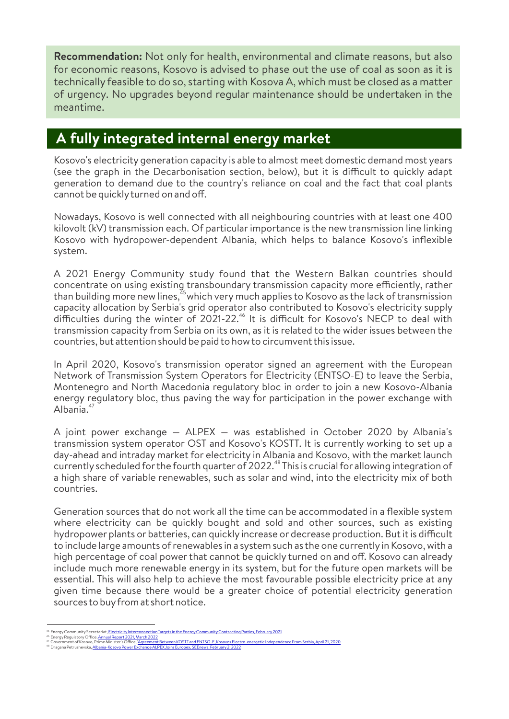**Recommendation:** Not only for health, environmental and climate reasons, but also for economic reasons, Kosovo is advised to phase out the use of coal as soon as it is technically feasible to do so, starting with Kosova A, which must be closed as a matter of urgency. No upgrades beyond regular maintenance should be undertaken in the meantime.

# **A fully integrated internal energy market**

Kosovo's electricity generation capacity is able to almost meet domestic demand most years (see the graph in the Decarbonisation section, below), but it is difficult to quickly adapt generation to demand due to the country's reliance on coal and the fact that coal plants cannot be quickly turned on and off.

Nowadays, Kosovo is well connected with all neighbouring countries with at least one 400 kilovolt (kV) transmission each. Of particular importance is the new transmission line linking Kosovo with hydropower-dependent Albania, which helps to balance Kosovo's inflexible system.

A 2021 Energy Community study found that the Western Balkan countries should concentrate on using existing transboundary transmission capacity more efficiently, rather than building more new lines,<sup>35</sup> which very much applies to Kosovo as the lack of transmission capacity allocation by Serbia's grid operator also contributed to Kosovo's electricity supply difficulties during the winter of 2021-22.<sup>46</sup> It is difficult for Kosovo's NECP to deal with transmission capacity from Serbia on its own, as it is related to the wider issues between the countries, but attention should be paid to how to circumvent this issue.

In April 2020, Kosovo's transmission operator signed an agreement with the European Network of Transmission System Operators for Electricity (ENTSO-E) to leave the Serbia, Montenegro and North Macedonia regulatory bloc in order to join a new Kosovo-Albania energy regulatory bloc, thus paving the way for participation in the power exchange with Albania.<sup>47</sup>

A joint power exchange — ALPEX — was established in October 2020 by Albania's transmission system operator OST and Kosovo's KOSTT. It is currently working to set up a day-ahead and intraday market for electricity in Albania and Kosovo, with the market launch currently scheduled for the fourth quarter of 2022.<sup>48</sup> This is crucial for allowing integration of a high share of variable renewables, such as solar and wind, into the electricity mix of both countries.

Generation sources that do not work all the time can be accommodated in a flexible system where electricity can be quickly bought and sold and other sources, such as existing hydropower plants or batteries, can quickly increase or decrease production. But it is difficult to include large amounts of renewables in a system such as the one currently in Kosovo, with a high percentage of coal power that cannot be quickly turned on and off. Kosovo can already include much more renewable energy in its system, but for the future open markets will be essential. This will also help to achieve the most favourable possible electricity price at any given time because there would be a greater choice of potential electricity generation sources to buyfrom at short notice.

Government of Kosovo, Prime Minister's Office, '<u>Agreement Between KOSTT and ENTSO-E, Kosovos Electro-energetic Independence From Serbia, April 21, 2020<br>Dragana Petrushevska<u>, Albania-Kosovo Power Exchange ALPEX Joins Euro</u></u> <sup>45</sup> Energy Community Secretariat, <u>Electricity Interconnection Targets in the Energy Community Contracting Parties, February 2021<br><sup>47</sup> Energy Regulatory Office, <u>Annual Report 2021, March 2022</u><br><sup>48</sup> Dovernment of Kosovo, </u>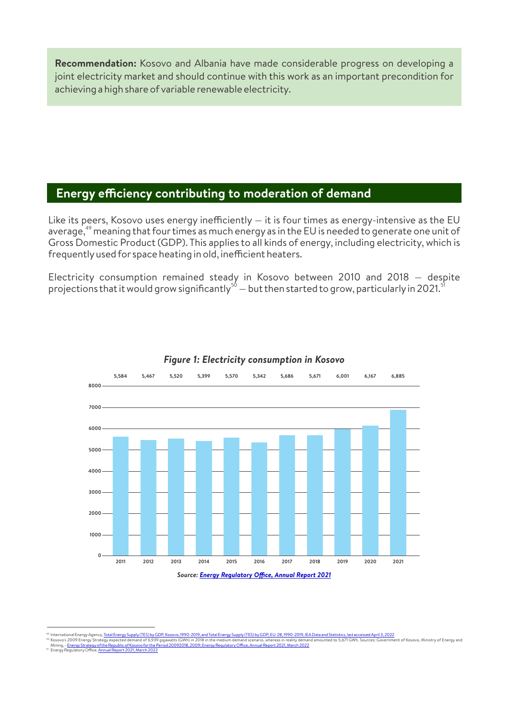**Recommendation:** Kosovo and Albania have made considerable progress on developing a joint electricity market and should continue with this work as an important precondition for achieving a high share of variable renewable electricity.

### **Energy efficiency contributing to moderation of demand**

Like its peers, Kosovo uses energy inefficiently  $-$  it is four times as energy-intensive as the EU average, $^{49}$  meaning that four times as much energy as in the EU is needed to generate one unit of Gross Domestic Product (GDP). This applies to all kinds of energy, including electricity, which is frequently used for space heating in old, inefficient heaters.

Electricity consumption remained steady in Kosovo between 2010 and 2018 — despite<br>projections that it would grow significantly<sup>50</sup> — but then started to grow, particularly in 2021.<sup>51</sup>



#### *Figure 1: Electricity consumption in Kosovo*

<sup>49</sup> Internatio

International Energy Agency<u>, Total Energy Supply (TES) by GDP, Kosovo, 1990-2019, and Total Energy Supply (TES) by GDP, EU-28, 1990-2019. IEA Data and Statistics, last accessed April 3, 2022<br>Kosovo's 2009 Energy Strategy </u>

Mining, –<u>Energy Strategy of the Republic of Kosovo for the Period 20092018, 2009; Energy Regulatory Office, Annual Report 2021, March 2022<br>Energy Regulatory Office, <u>Annual Report 2021, March 2022</u></u> 51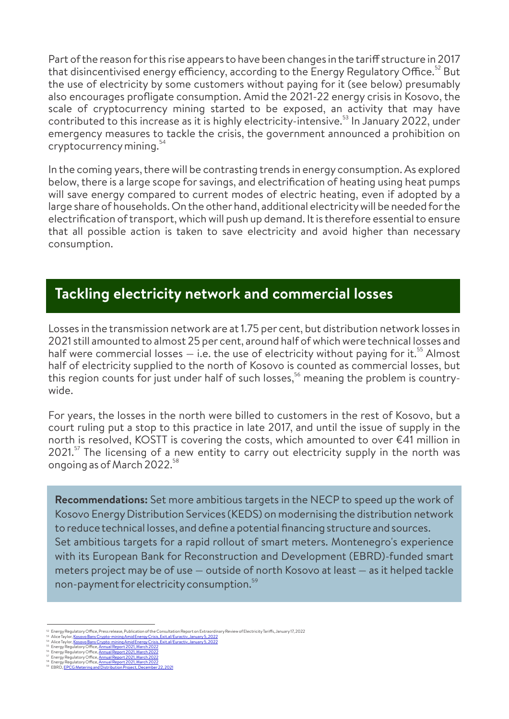Part of the reason for this rise appears to have been changes in the tariff structure in 2017 that disincentivised energy efficiency, according to the Energy Regulatory Office.<sup>52</sup> But the use of electricity by some customers without paying for it (see below) presumably also encourages profligate consumption. Amid the 2021-22 energy crisis in Kosovo, the scale of cryptocurrency mining started to be exposed, an activity that may have contributed to this increase as it is highly electricity-intensive.<sup>53</sup> In January 2022, under emergency measures to tackle the crisis, the government announced a prohibition on 54 cryptocurrencymining.

In the coming years, there will be contrasting trends in energy consumption. As explored below, there is a large scope for savings, and electrification of heating using heat pumps will save energy compared to current modes of electric heating, even if adopted by a large share of households. On the otherhand, additional electricitywill be needed forthe electrification of transport, which will push up demand. It is therefore essential to ensure that all possible action is taken to save electricity and avoid higher than necessary consumption.

# **Tackling electricity network and commercial losses**

Losses in the transmission network are at 1.75 per cent, but distribution network losses in 2021 still amounted to almost 25 per cent, around half of which were technical losses and half were commercial losses  $-$  i.e. the use of electricity without paying for it.<sup>55</sup> Almost half of electricity supplied to the north of Kosovo is counted as commercial losses, but this region counts for just under half of such losses,<sup>56</sup> meaning the problem is countrywide.

For years, the losses in the north were billed to customers in the rest of Kosovo, but a court ruling put a stop to this practice in late 2017, and until the issue of supply in the north is resolved, KOSTT is covering the costs, which amounted to over €41 million in  $2021$ . The licensing of a new entity to carry out electricity supply in the north was ongoing as of March 2022.<sup>58</sup>

Set ambitious targets for a rapid rollout of smart meters. Montenegro's experience with its European Bank for Reconstruction and Development (EBRD)-funded smart meters project may be of use — outside of north Kosovo at least — as it helped tackle non-payment for electricity consumption. $^{\mathrm{59}}$ **Recommendations:** Set more ambitious targets in the NECP to speed up the work of Kosovo EnergyDistribution Services (KEDS) on modernising the distribution network to reduce technical losses, and define a potential financing structure and sources.

Energy Regulatory Office, Press release, Publication of the Consultation Report on Extraordinary Review of Electricity Tariffs, January 17, 2022

Alice Taylor, <u>Kosovo Bans Crypto-mining Amid Energy Crisis, Exit.al/Euractiv, January 5, 2022</u><br>Alice Taylor, <u>Kosovo Bans Crypto-mining Amid Energy Crisis, Exit.al/Euractiv, January 5, 2022</u>

Energy Regulatory Office, <u>Annual Report 2021, March 2022</u><br>Energy Regulatory Office, <u>Annual Report 2021, March 2022</u><br>Energy Regulatory Office, <u>Annual Report 2021, March 2022</u> 52 53 54 55 56 57 58 59

EBRD, EPCG Metering and Distribution Project, December22, 2021 Energy Regulatory Office, <u>Annual Report 2021, March 2022</u>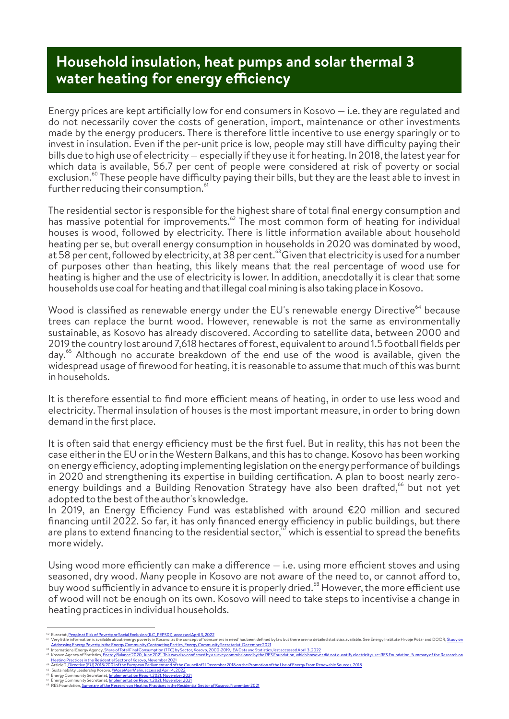# **Household insulation, heat pumps and solar thermal 3 water heating for energy efficiency**

Energy prices are kept artificially low for end consumers in Kosovo — i.e. they are regulated and do not necessarily cover the costs of generation, import, maintenance or other investments made by the energy producers. There is therefore little incentive to use energy sparingly or to invest in insulation. Even if the per-unit price is low, people may still have difficulty paying their bills due to high use of electricity— especially if theyuse it forheating. In 2018, the latest yearfor which data is available, 56.7 per cent of people were considered at risk of poverty or social exclusion. $^\mathrm{60}$  These people have difficulty paying their bills, but they are the least able to invest in further reducing their consumption.<sup>61</sup>

The residential sector is responsible for the highest share of total final energy consumption and has massive potential for improvements.<sup>62</sup> The most common form of heating for individual houses is wood, followed by electricity. There is little information available about household heating per se, but overall energy consumption in households in 2020 was dominated by wood, at 58 per cent, followed by electricity, at 38 per cent.<sup>33</sup> Given that electricity is used for a number of purposes other than heating, this likely means that the real percentage of wood use for heating is higher and the use of electricity is lower. In addition, anecdotally it is clearthat some households use coal forheating and that illegal coal mining is also taking place in Kosovo.

Wood is classified as renewable energy under the EU's renewable energy Directive<sup>64</sup> because trees can replace the burnt wood. However, renewable is not the same as environmentally sustainable, as Kosovo has already discovered. According to satellite data, between 2000 and 2019 the country lost around 7,618 hectares of forest, equivalent to around 1.5 football fields per day.<sup>65</sup> Although no accurate breakdown of the end use of the wood is available, given the widespread usage of firewood for heating, it is reasonable to assume that much of this was burnt in households.

It is therefore essential to find more efficient means of heating, in order to use less wood and electricity. Thermal insulation of houses is the most important measure, in orderto bring down demand in the first place.

It is often said that energy efficiency must be the first fuel. But in reality, this has not been the case eitherin the EU orin the Western Balkans, and this has to change. Kosovo has been working on energy efficiency, adopting implementing legislation on the energy performance of buildings in 2020 and strengthening its expertise in building certification. A plan to boost nearly zeroenergy buildings and a Building Renovation Strategy have also been drafted,<sup>66</sup> but not yet adopted to the best of the author's knowledge.

In 2019, an Energy Efficiency Fund was established with around €20 million and secured financing until 2022. So far, it has only financed energy efficiency in public buildings, but there are plans to extend financing to the residential sector, $\degree'$  which is essential to spread the benefits more widely.

Using wood more efficiently can make a difference  $-$  i.e. using more efficient stoves and using seasoned, dry wood. Many people in Kosovo are not aware of the need to, or cannot afford to, buy wood sufficiently in advance to ensure it is properly dried.<sup>68</sup> However, the more efficient use of wood will not be enough on its own. Kosovo will need to take steps to incentivise a change in heating practices in individual households.

Eurostat, <u>People at Risk of Poverty or Social Exclusion (ILC\_PEPS01), accessed April 3, 2022</u> 60 61

Very little information is available about energy poverty in Kosovo, as the concept of 'consumers in need' has been defined by law but there are no detailed statistics available. See Energy Institute Hrvoje Požar and DOOR, International Energy Agency, <u>Share of Total Final Consumption (TFC) by Sector, Kosovo, 2000-2019, IEA Data and Statistics, last accessed April 3, 2022</u>

Kosovo Agency of Statistics, <u>Energy Balance 2020, June 2021. This was also confirmed by a survey commissioned by the RES Foundation, which however did not quantify electricity use: RES Foundation, Summary of the Research </u> 62 63

<sup>&</sup>lt;u>Rosovo, November 2021</u><br>ropean Parliament and of the Council of 11 December 2018 on the Promotion of the Use of Energy From Renewable Sources, 2018 Heating Practices in the Residential Sectorof Kosovo, November2021

<sup>64</sup> 65 66 67 68

Sustainability Leadership Kosova, <u>#MoseMerrMalin, accessed April 4, 2022</u><br>Energy Community Secretariat, <u>Implementation Report 2021, November 2021</u><br>Energy Community Secretariat, <u>Implementation Report 2021, November 2021</u>

RES Foundation, <u>Summary of the Research on Heating Practices in the Residential Sector of Kosovo, November 2021</u>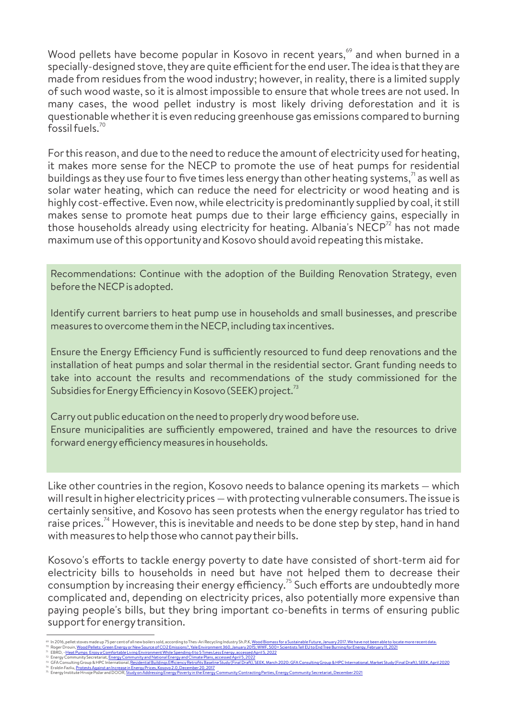Wood pellets have become popular in Kosovo in recent years,<sup>69</sup> and when burned in a specially-designed stove, they are quite efficient for the end user. The idea is that they are made from residues from the wood industry; however, in reality, there is a limited supply of such wood waste, so it is almost impossible to ensure that whole trees are not used. In many cases, the wood pellet industry is most likely driving deforestation and it is questionable whetherit is even reducing greenhouse gas emissions compared to burning fossil fuels. $70$ 

Forthis reason, and due to the need to reduce the amount of electricity used for heating, it makes more sense for the NECP to promote the use of heat pumps for residential buildings as they use four to five times less energy than other heating systems, $\frac{1}{1}$  as well as solar water heating, which can reduce the need for electricity or wood heating and is highly cost-effective. Even now, while electricity is predominantly supplied by coal, it still makes sense to promote heat pumps due to their large efficiency gains, especially in those households already using electricity for heating. Albania's  $NECP^{72}$  has not made maximum use of this opportunityand Kosovo should avoid repeating this mistake.

Recommendations: Continue with the adoption of the Building Renovation Strategy, even before the NECP is adopted.

Identify current barriers to heat pump use in households and small businesses, and prescribe measures to overcome them in the NECP, including tax incentives.

Ensure the Energy Efficiency Fund is sufficiently resourced to fund deep renovations and the installation of heat pumps and solar thermal in the residential sector. Grant funding needs to take into account the results and recommendations of the study commissioned for the Subsidies for Energy Efficiency in Kosovo (SEEK) project.<sup>73</sup>

Carryout public education on the need to properlydrywood before use. Ensure municipalities are sufficiently empowered, trained and have the resources to drive forward energy efficiency measures in households.

Like other countries in the region, Kosovo needs to balance opening its markets — which will result in higher electricity prices — with protecting vulnerable consumers. The issue is certainly sensitive, and Kosovo has seen protests when the energy regulator has tried to raise prices.<sup>74</sup> However, this is inevitable and needs to be done step by step, hand in hand with measures to help those who cannot pay their bills.

Kosovo's efforts to tackle energy poverty to date have consisted of short-term aid for electricity bills to households in need but have not helped them to decrease their consumption by increasing their energy efficiency. $^{75}$  Such efforts are undoubtedly more complicated and, depending on electricity prices, also potentially more expensive than paying people's bills, but they bring important co-benefits in terms of ensuring public support forenergytransition.

In 2016, pellet stoves made up 75 per cent of all new boilers sold, according to Thes-Ari Recycling Industry Sh.P.K<u>, Wood Biomass for a Sustainable Future, January 2017. We have not been able to locate more recent data.<br>R</u> 69 70

EBRD, –<u>Heat Pumps Enjoy a Comfortable Living Environment While Spending 4 to 5 Times Less Energy, accessed April 5, 2022</u> 71

Energy Community Secretariat, <u>Energy Community and National Energy and Climate Plans, accessed April 5, 2022</u><br>GFA Consulting Group & HPC International, <u>Residential Buildings Efficiency Retrofits Baseline Study (Final Dra</u> <sup>75</sup> Energy Institute Hrvoje Požarand DOOR, <u>Study on Addressing Energy Poverty in the Energy Community Contracting Parties, Energy Community Secretariat, December 2021</u> 72 73 74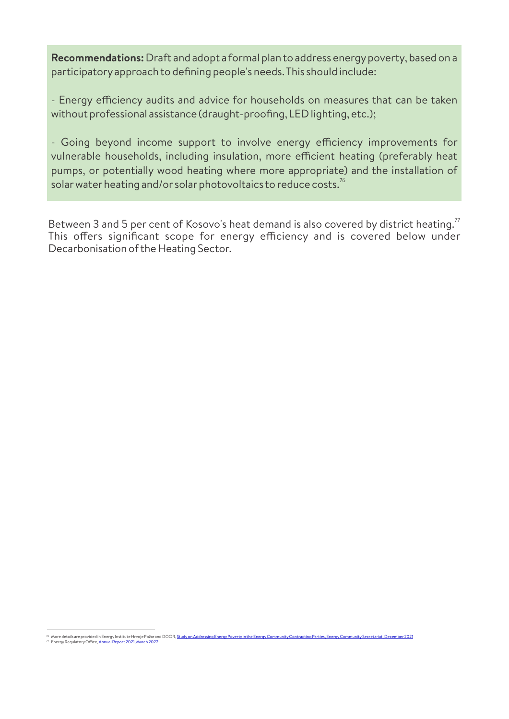**Recommendations:** Draft and adopt a formal plan to address energypoverty, based on a participatoryapproach to defining people's needs. This should include:

- Energy efficiency audits and advice for households on measures that can be taken without professional assistance (draught-proofing, LED lighting, etc.);

- Going beyond income support to involve energy efficiency improvements for vulnerable households, including insulation, more efficient heating (preferably heat pumps, or potentially wood heating where more appropriate) and the installation of solar water heating and/or solar photovoltaics to reduce costs. $^{76}$ 

Between 3 and 5 per cent of Kosovo's heat demand is also covered by district heating.<sup>77</sup> This offers significant scope for energy efficiency and is covered below under Decarbonisation of the Heating Sector.

<sup>&</sup>lt;sup>76</sup> More details are provided in Energy Institute Hrvoje Požar and DOOR, <u>Study on Addressing Energy Poverty in the Energy Community Contracting Parties, Energy Community Secretariat, December 2021<br><sup>77</sup> Energy Regulatory </u>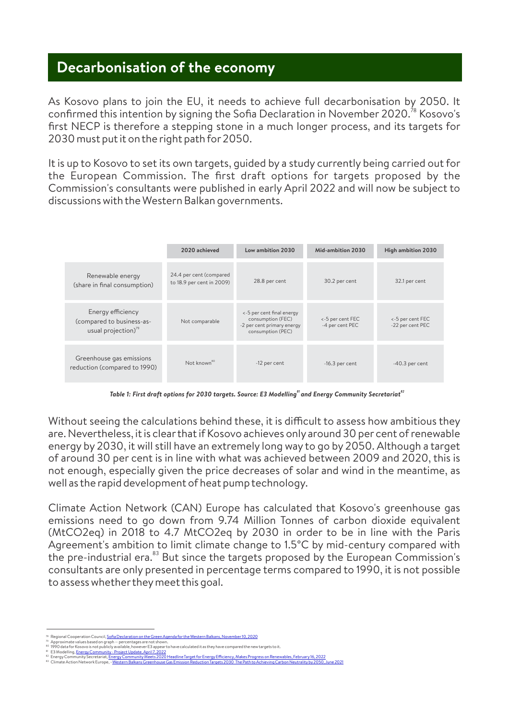# **Decarbonisation of the economy**

As Kosovo plans to join the EU, it needs to achieve full decarbonisation by 2050. It confirmed this intention by signing the Sofia Declaration in November 2020.<sup>78</sup> Kosovo's first NECP is therefore a stepping stone in a much longer process, and its targets for 2030 must put it on the right path for 2050.

It is up to Kosovo to set its own targets, guided by a study currently being carried out for the European Commission. The first draft options for targets proposed by the Commission's consultants were published in early April 2022 and will now be subject to discussions with the Western Balkan governments.

|                                                                                   | 2020 achieved                                        | Low ambition 2030                                                                                 | Mid-ambition 2030                   | High ambition 2030                   |
|-----------------------------------------------------------------------------------|------------------------------------------------------|---------------------------------------------------------------------------------------------------|-------------------------------------|--------------------------------------|
| Renewable energy<br>(share in final consumption)                                  | 24.4 per cent (compared<br>to 18.9 per cent in 2009) | 28.8 per cent                                                                                     | 30.2 per cent                       | 32.1 per cent                        |
| Energy efficiency<br>(compared to business-as-<br>usual projection) <sup>79</sup> | Not comparable                                       | <-5 per cent final energy<br>consumption (FEC)<br>-2 per cent primary energy<br>consumption (PEC) | <-5 per cent FEC<br>-4 per cent PEC | <-5 per cent FEC<br>-22 per cent PEC |
| Greenhouse gas emissions<br>reduction (compared to 1990)                          | Not known <sup>80</sup>                              | -12 per cent                                                                                      | $-16.3$ per cent                    | $-40.3$ per cent                     |

Table 1: First draft options for 2030 targets. Source: E3 Modelling<sup>81</sup> and Energy Community Secretariat<sup>82</sup>

Without seeing the calculations behind these, it is difficult to assess how ambitious they are. Nevertheless, it is clearthat if Kosovo achieves only around 30 per cent of renewable energy by 2030, it will still have an extremely long way to go by 2050. Although a target of around 30 per cent is in line with what was achieved between 2009 and 2020, this is not enough, especially given the price decreases of solar and wind in the meantime, as well as the rapid development of heat pump technology.

Climate Action Network (CAN) Europe has calculated that Kosovo's greenhouse gas emissions need to go down from 9.74 Million Tonnes of carbon dioxide equivalent (MtCO2eq) in 2018 to 4.7 MtCO2eq by 2030 in order to be in line with the Paris Agreement's ambition to limit climate change to 1.5°C by mid-century compared with the pre-industrial era. $83$  But since the targets proposed by the European Commission's consultants are only presented in percentage terms compared to 1990, it is not possible to assess whethertheymeet this goal.

Regional Cooperation Council, Sofia Declaration on the Green Agenda for the Western Balkans, November 10, 2020

Approximate values based on graph — percentages are not shown. 1990 data for Kosovo is not publicly available, however E3 appear to have calculated it as they have compared the new targets to it. 78 79 80 81 82 83

Energy Community Secretariat, Energy Community Meets 2020 Headline Target for Energy Efficiency, Makes Progress on Renewables, February 16, 2022 E3 Modelling, EnergyCommunity- Project Update, April 7, 2022 Climate Action Network Europe, –<u>Western Balkans Greenhouse Gas Emission Reduction Targets 2030 The Path to Achieving Carbon Neutrality by 2050, June 2021</u>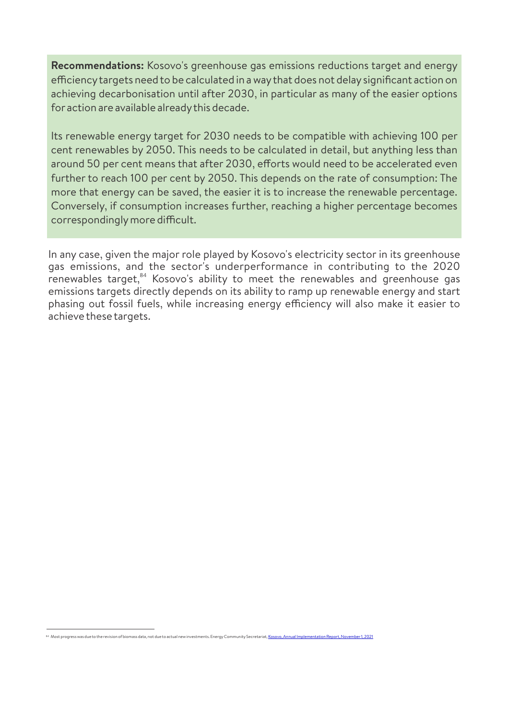**Recommendations:** Kosovo's greenhouse gas emissions reductions target and energy efficiency targets need to be calculated in a way that does not delay significant action on achieving decarbonisation until after 2030, in particular as many of the easier options for action are available alreadythis decade.

Its renewable energy target for 2030 needs to be compatible with achieving 100 per cent renewables by 2050. This needs to be calculated in detail, but anything less than around 50 per cent means that after 2030, efforts would need to be accelerated even further to reach 100 per cent by 2050. This depends on the rate of consumption: The more that energy can be saved, the easier it is to increase the renewable percentage. Conversely, if consumption increases further, reaching a higher percentage becomes correspondingly more difficult.

In any case, given the major role played by Kosovo's electricity sector in its greenhouse gas emissions, and the sector's underperformance in contributing to the 2020 renewables target,<sup>84</sup> Kosovo's ability to meet the renewables and greenhouse gas emissions targets directly depends on its ability to ramp up renewable energy and start phasing out fossil fuels, while increasing energy efficiency will also make it easier to achieve these targets.

 $^{\mathrm{84}}$  Most progress was due to the revision of biomass data, not due to actual new investments. Ene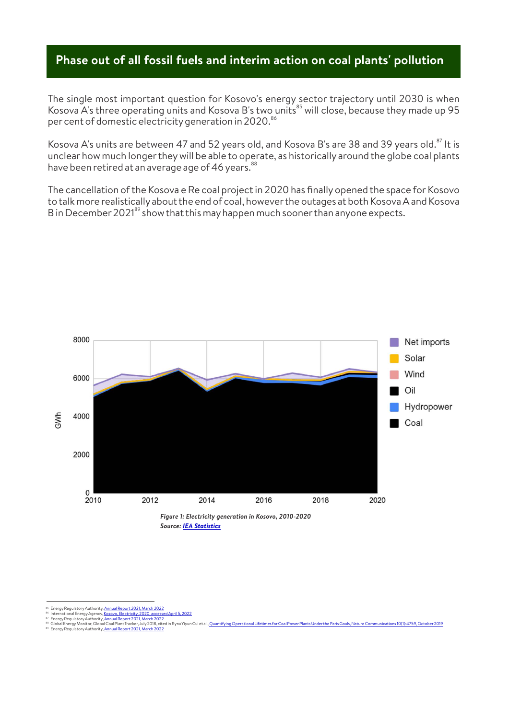### **Phase out of all fossil fuels and interim action on coal plants' pollution**

The single most important question for Kosovo's energy sector trajectory until 2030 is when Kosova A's three operating units and Kosova B's two units $^{\mathrm{85}}$  will close, because they made up 95 per cent of domestic electricity generation in 2020. $^{\mathrm{86}}$ 

Kosova A's units are between 47 and 52 years old, and Kosova B's are 38 and 39 years old.<sup>87</sup> It is unclear how much longertheywill be able to operate, as historically around the globe coal plants have been retired at an average age of 46 years.<sup>88</sup>

The cancellation of the Kosova e Re coal project in 2020 has finally opened the space for Kosovo to talk more realisticallyabout the end of coal, howeverthe outages at both Kosova A and Kosova B in December 2021<sup>89</sup> show that this may happen much sooner than anyone expects.



<sup>&</sup>lt;sup>85</sup> Energy Regulatory Authority, <u>Annual Report 2021, March 2022</u><br><sup>86</sup> International Energy Agency, <u>Kossovo, Electricity, 2020, access</u><br><sup>87</sup> Energy Regulatory Authority, <u>Annual Report 2021, March 2022</u><br><sup>89</sup> Energy Regul

International Energy Agency, <u>Kosovo, Electricity, 2020, accessed April 5, 2022</u><br>Energy Regulatory Authority, <u>Annual Report 2021, March 2022</u><br>Global Energy Monitor, Global Coal Plant Tracker, July 2018, cited in Ryna Yiyu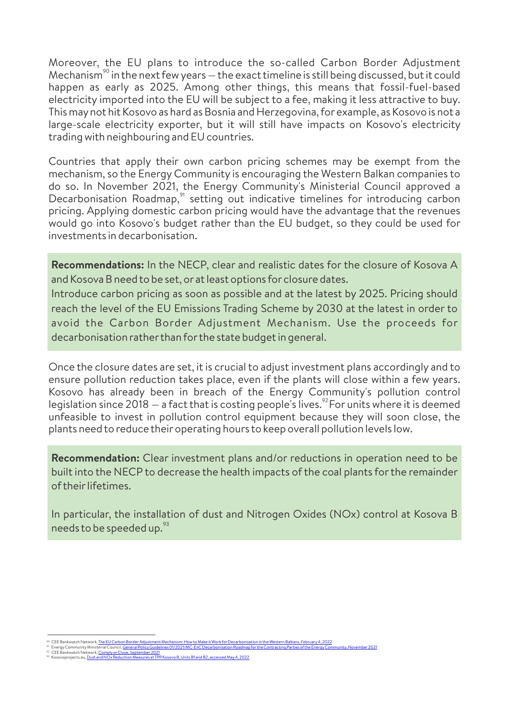Moreover, the EU plans to introduce the so-called Carbon Border Adjustment Mechanism<sup>90</sup> in the next few years  $-$  the exact timeline is still being discussed, but it could happen as early as 2025. Among other things, this means that fossil-fuel-based electricity imported into the EU will be subject to a fee, making it less attractive to buy. This maynot hit Kosovo as hard as Bosnia and Herzegovina, forexample, as Kosovo is not a large-scale electricity exporter, but it will still have impacts on Kosovo's electricity trading with neighbouring and EU countries.

Countries that apply their own carbon pricing schemes may be exempt from the mechanism, so the Energy Community is encouraging the Western Balkan companies to do so. In November 2021, the Energy Community's Ministerial Council approved a Decarbonisation Roadmap,  $91$  setting out indicative timelines for introducing carbon pricing. Applying domestic carbon pricing would have the advantage that the revenues would go into Kosovo's budget rather than the EU budget, so they could be used for investments in decarbonisation.

**Recommendations:** In the NECP, clear and realistic dates for the closure of Kosova A and Kosova B need to be set, or at least options forclosure dates.

Introduce carbon pricing as soon as possible and at the latest by 2025. Pricing should reach the level of the EU Emissions Trading Scheme by 2030 at the latest in order to avoid the Carbon Border Adjustment Mechanism. Use the proceeds for decarbonisation ratherthan forthe state budget in general.

Once the closure dates are set, it is crucial to adjust investment plans accordingly and to ensure pollution reduction takes place, even if the plants will close within a few years. Kosovo has already been in breach of the Energy Community's pollution control legislation since 2018 — a fact that is costing people's lives.<sup>92</sup> For units where it is deemed unfeasible to invest in pollution control equipment because they will soon close, the plants need to reduce theiroperating hours to keep overall pollution levels low.

**Recommendation:** Clear investment plans and/or reductions in operation need to be built into the NECP to decrease the health impacts of the coal plants forthe remainder of theirlifetimes.

In particular, the installation of dust and Nitrogen Oxides (NOx) control at Kosova B needs to be speeded up.<sup>93</sup>

CEE Bankwatch Network, <u>The EU Carbon Border Adjustment Mechanism: How to Make it Work for Decarbonisation in the Western Balkans, February 4, 2022<br>Energy Community Ministerial Council<u>, General Policy Guidelines 01/2021/M</u></u> 90

CEE Bankwatch Network, <u>Comply or Close, September 2021</u> 91 92

Kosovoprojects.eu, **Dust and NOx Reduction Measures at TPP Kosovo B, Units B1 and B2, accessed May 4, 2022** 93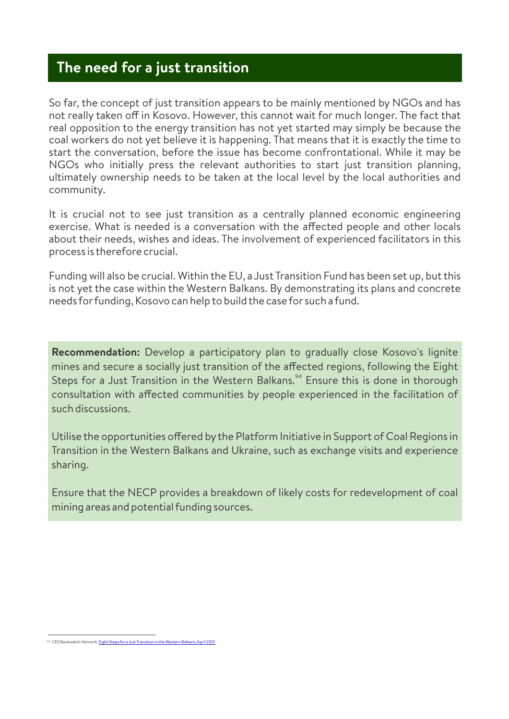# **The need for a just transition**

So far, the concept of just transition appears to be mainly mentioned by NGOs and has not really taken off in Kosovo. However, this cannot wait for much longer. The fact that real opposition to the energy transition has not yet started may simply be because the coal workers do not yet believe it is happening. That means that it is exactly the time to start the conversation, before the issue has become confrontational. While it may be NGOs who initially press the relevant authorities to start just transition planning, ultimately ownership needs to be taken at the local level by the local authorities and community.

It is crucial not to see just transition as a centrally planned economic engineering exercise. What is needed is a conversation with the affected people and other locals about their needs, wishes and ideas. The involvement of experienced facilitators in this process is therefore crucial.

Funding will also be crucial. Within the EU, a Just Transition Fund has been set up, but this is not yet the case within the Western Balkans. By demonstrating its plans and concrete needs forfunding, Kosovo can help to build the case for such a fund.

**Recommendation:** Develop a participatory plan to gradually close Kosovo's lignite mines and secure a socially just transition of the affected regions, following the Eight Steps for a Just Transition in the Western Balkans.<sup>94</sup> Ensure this is done in thorough consultation with affected communities by people experienced in the facilitation of such discussions.

Utilise the opportunities offered by the Platform Initiative in Support of Coal Regions in Transition in the Western Balkans and Ukraine, such as exchange visits and experience sharing.

Ensure that the NECP provides a breakdown of likely costs for redevelopment of coal mining areas and potential funding sources.

<sup>&</sup>lt;sup>94</sup> CEE Bankwatch Network, **Eight Steps for a Just Transitic**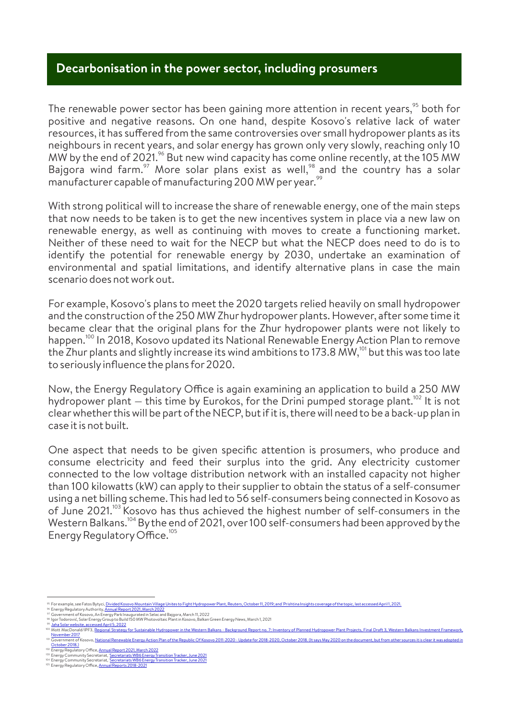#### **Decarbonisation in the power sector, including prosumers**

The renewable power sector has been gaining more attention in recent years, $\frac{95}{10}$  both for positive and negative reasons. On one hand, despite Kosovo's relative lack of water resources, it has suffered from the same controversies over small hydropower plants as its neighbours in recent years, and solar energy has grown only very slowly, reaching only 10 MW by the end of 2021.<sup>96</sup> But new wind capacity has come online recently, at the 105 MW Bajgora wind farm.<sup>97</sup> More solar plans exist as well,<sup>98</sup> and the country has a solar manufacturer capable of manufacturing 200 MW per year.<sup>9</sup>

With strong political will to increase the share of renewable energy, one of the main steps that now needs to be taken is to get the new incentives system in place via a new law on renewable energy, as well as continuing with moves to create a functioning market. Neither of these need to wait for the NECP but what the NECP does need to do is to identify the potential for renewable energy by 2030, undertake an examination of environmental and spatial limitations, and identify alternative plans in case the main scenario does not work out.

For example, Kosovo's plans to meet the 2020 targets relied heavily on small hydropower and the construction of the 250 MW Zhur hydropower plants. However, after some time it became clear that the original plans for the Zhur hydropower plants were not likely to happen.<sup>100</sup> In 2018, Kosovo updated its National Renewable Energy Action Plan to remove the Zhur plants and slightly increase its wind ambitions to 173.8 MW,<sup>101</sup> but this was too late to seriouslyinfluence the plans for2020.

Now, the Energy Regulatory Office is again examining an application to build a 250 MW hydropower plant  $-$  this time by Eurokos, for the Drini pumped storage plant.<sup>102</sup> It is not clearwhetherthis will be part of the NECP, but if it is, there will need to be a back-up plan in case it is not built.

One aspect that needs to be given specific attention is prosumers, who produce and consume electricity and feed their surplus into the grid. Any electricity customer connected to the low voltage distribution network with an installed capacity not higher than 100 kilowatts (kW) can apply to their supplierto obtain the status of a self-consumer using a net billing scheme. This had led to 56 self-consumers being connected in Kosovo as of June 2021.<sup>103</sup> Kosovo has thus achieved the highest number of self-consumers in the Western Balkans.<sup>104</sup> By the end of 2021, over 100 self-consumers had been approved by the Energy Regulatory Office.<sup>105</sup>

October2018.)

For example, see Fatos Bytyci, <u>Divided Kosovo Mountain Village Unites to Fight Hydropower Plant, Reuters, October 11, 2019; and 'Prishtina Insights coverage of the topic, last accessed April 1, 2021.<br>Energy Regulatory Aut</u>

<sup>&</sup>lt;sup>95</sup> For example, see Fatos Bytyci, <u>Divided Kos</u><br><sup>96</sup> Energy Regulatory Authority, <u>Annual Rep</u><br><sup>97</sup> Government of Kosovo, An Energy Park In<br><sup>98</sup> Igor Todorović, Solar Energy Group to Buil<br><sup>99</sup> <u>Jaha Solar website, access</u>

<sup>100</sup>

<sup>101</sup> Mott MacDonald/IPF3, <u>Regional Strategy for Sustainable Hydropower in the Western Balkans - Background Report no. 7: Inventory of Planned Hydropower Plant Projects, Final Draft 3, Western Balkans Investment Framework,</u> Nott MacDonald<br><u>Iovember 2017</u><br>Jovernment of K entional Renewable Energy Action Plan of the Republic Of Kosovo 2011-2020 - Update for 2018-2020, October 2018. (It says May 2020

<sup>102</sup> 103 104 105 Energy Regulatory Office, <u>Annual Report 2021, March 2022</u><br>Energy Community Secretariat, '<u>Secretariats WB6 Energy Transition Tracker, June 2021</u>

Energy Community Secretariat, '<u>Secretariats WB6 Energy Transition Tracker, June 2021</u><br>Energy Regulatory Office, <u>Annual Reports 2018-2021</u>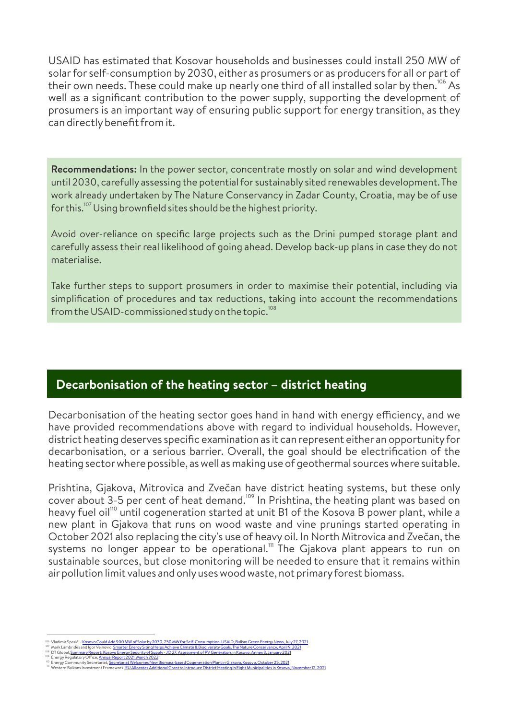USAID has estimated that Kosovar households and businesses could install 250 MW of solarfor self-consumption by 2030, either as prosumers or as producers for all or part of their own needs. These could make up nearly one third of all installed solar by then.<sup>106</sup> As well as a significant contribution to the power supply, supporting the development of prosumers is an important way of ensuring public support for energy transition, as they can directlybenefit from it.

**Recommendations:** In the power sector, concentrate mostly on solar and wind development until 2030, carefully assessing the potential for sustainably sited renewables development. The work already undertaken by The Nature Conservancy in Zadar County, Croatia, may be of use for this.<sup>107</sup> Using brownfield sites should be the highest priority.

Avoid over-reliance on specific large projects such as the Drini pumped storage plant and carefully assess their real likelihood of going ahead. Develop back-up plans in case they do not materialise.

Take further steps to support prosumers in order to maximise their potential, including via simplification of procedures and tax reductions, taking into account the recommendations from the USAID-commissioned study on the topic.<sup>108</sup>

### **Decarbonisation of the heating sector – district heating**

Decarbonisation of the heating sector goes hand in hand with energy efficiency, and we have provided recommendations above with regard to individual households. However, district heating deserves specific examination as it can represent either an opportunityfor decarbonisation, or a serious barrier. Overall, the goal should be electrification of the heating sectorwhere possible, as well as making use of geothermal sources where suitable.

Prishtina, Gjakova, Mitrovica and Zvečan have district heating systems, but these only cover about 3-5 per cent of heat demand.<sup>109</sup> In Prishtina, the heating plant was based on heavy fuel oil<sup>110</sup> until cogeneration started at unit B1 of the Kosova B power plant, while a new plant in Gjakova that runs on wood waste and vine prunings started operating in October 2021 also replacing the city's use of heavy oil. In North Mitrovica and Zvečan, the systems no longer appear to be operational."' The Gjakova plant appears to run on sustainable sources, but close monitoring will be needed to ensure that it remains within airpollution limit values and onlyuses wood waste, not primaryforest biomass.

<sup>&</sup>lt;sup>108</sup> Vladimir Spasić, - <u>Kosovo Could Add 900 MW of Solar by 2030, 250 MW for Self-Consumption USAID, Balkan Green Energy News, July 27, 2<br><sup>107</sup> Mark Lambrides and Igor Vejnovic, <u>Smarter Energy Sting Helps Achieve Climat</u></u> Vladimir Spasić, –<u>Kosovo Could Add 900 MW of Se</u>

Energy Regulatory Office, Annual Report 2021, March 2022

<sup>™</sup> Energy Community Secretariat, <u>Secretariat Welcomes New Biomass-based Cogeneration Plant in Gjakova, Kosovo, October 25, 2021</u><br>™ Western Balkans Investment Framework, <u>EU Allocates Additional Grant to Introduce District</u>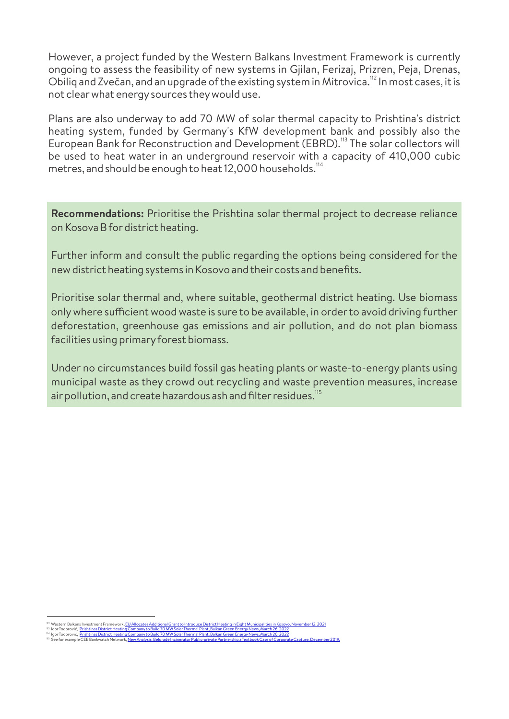However, a project funded by the Western Balkans Investment Framework is currently ongoing to assess the feasibility of new systems in Gjilan, Ferizaj, Prizren, Peja, Drenas, Obiliq and Zvečan, and an upgrade of the existing system in Mitrovica.<sup>112</sup> In most cases, it is not clearwhat energysources theywould use.

Plans are also underway to add 70 MW of solar thermal capacity to Prishtina's district heating system, funded by Germany's KfW development bank and possibly also the European Bank for Reconstruction and Development (EBRD).<sup>113</sup> The solar collectors will be used to heat water in an underground reservoir with a capacity of 410,000 cubic metres, and should be enough to heat 12,000 households.<sup>114</sup>

**Recommendations:** Prioritise the Prishtina solar thermal project to decrease reliance on Kosova B for district heating.

Further inform and consult the public regarding the options being considered for the new district heating systems in Kosovo and their costs and benefits.

Prioritise solar thermal and, where suitable, geothermal district heating. Use biomass only where sufficient wood waste is sure to be available, in order to avoid driving further deforestation, greenhouse gas emissions and air pollution, and do not plan biomass facilities using primaryforest biomass.

Under no circumstances build fossil gas heating plants or waste-to-energy plants using municipal waste as they crowd out recycling and waste prevention measures, increase air pollution, and create hazardous ash and filter residues.<sup>115</sup>

Western Balkans Investment Framework, <u>EU Allocates Additional Grant to Introduce District Heating in Eight Municipalities in Kosovo, November 12, 2021</u>

<sup>&</sup>lt;sup>112</sup> Mestern Balkans Investment Framework, <u>EU Allocates Additional Grant to Interduce District Heating in Eight Municipalities in Kossov<br><sup>113</sup> Igor Todorović, <u>Prishtinas District Heating Company to Build 70 MW Solar The</u></u>

See for example CEE Bankwatch Network, <u>New Analysis: Belgrade Incinerator Public-private Partnership a Textbook Case of Corporate Capture, December 2019.</u>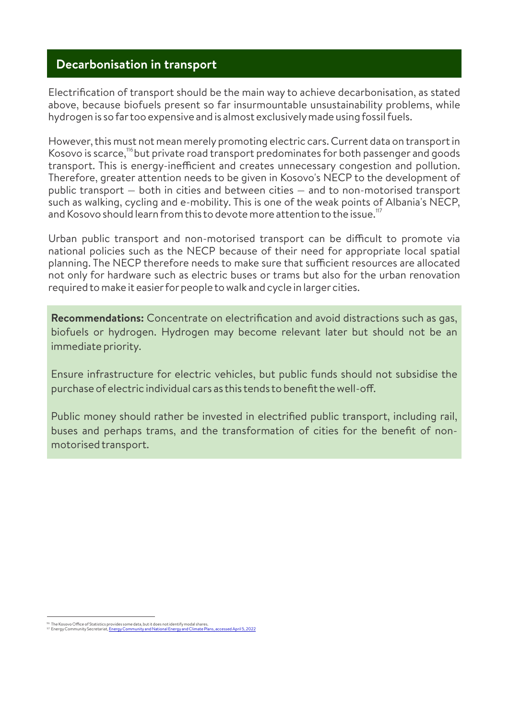### **Decarbonisation in transport**

Electrification of transport should be the main way to achieve decarbonisation, as stated above, because biofuels present so far insurmountable unsustainability problems, while hydrogen is so fartoo expensive and is almost exclusivelymade using fossil fuels.

However, this must not mean merely promoting electric cars. Current data on transport in Kosovo is scarce,<sup>116</sup> but private road transport predominates for both passenger and goods transport. This is energy-inefficient and creates unnecessary congestion and pollution. Therefore, greater attention needs to be given in Kosovo's NECP to the development of public transport — both in cities and between cities — and to non-motorised transport such as walking, cycling and e-mobility. This is one of the weak points of Albania's NECP, and Kosovo should learn from this to devote more attention to the issue.<sup>117</sup>

Urban public transport and non-motorised transport can be difficult to promote via national policies such as the NECP because of their need for appropriate local spatial planning. The NECP therefore needs to make sure that sufficient resources are allocated not only for hardware such as electric buses or trams but also for the urban renovation required to make it easier for people to walk and cycle in larger cities.

**Recommendations:** Concentrate on electrification and avoid distractions such as gas, biofuels or hydrogen. Hydrogen may become relevant later but should not be an immediate priority.

Ensure infrastructure for electric vehicles, but public funds should not subsidise the purchase of electric individual cars as this tends to benefit the well-off.

Public money should rather be invested in electrified public transport, including rail, buses and perhaps trams, and the transformation of cities for the benefit of nonmotorised transport.

<sup>116</sup> The Kosovo Office of Statistics provides some data, but it does not identify modal shares.<br>117 Energy Community Secretariat, <u>Energy Community and National Energy and Climate Plans, accessed April 5, 2022</u>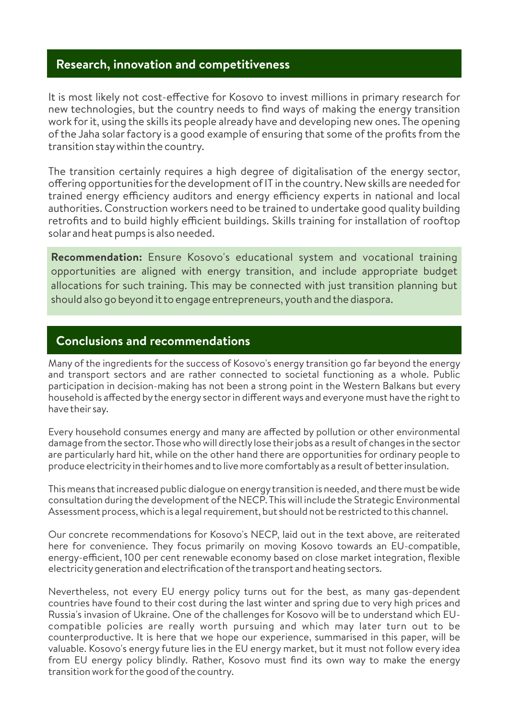### **Research, innovation and competitiveness**

It is most likely not cost-effective for Kosovo to invest millions in primary research for new technologies, but the country needs to find ways of making the energy transition work for it, using the skills its people already have and developing new ones. The opening of the Jaha solar factory is a good example of ensuring that some of the profits from the transition staywithin the country.

The transition certainly requires a high degree of digitalisation of the energy sector, offering opportunities for the development of IT in the country. New skills are needed for trained energy efficiency auditors and energy efficiency experts in national and local authorities. Construction workers need to be trained to undertake good quality building retrofits and to build highly efficient buildings. Skills training for installation of rooftop solar and heat pumps is also needed.

**Recommendation:** Ensure Kosovo's educational system and vocational training opportunities are aligned with energy transition, and include appropriate budget allocations for such training. This may be connected with just transition planning but should also go beyond it to engage entrepreneurs, youth and the diaspora.

#### **Conclusions and recommendations**

Many of the ingredients for the success of Kosovo's energy transition go far beyond the energy and transport sectors and are rather connected to societal functioning as a whole. Public participation in decision-making has not been a strong point in the Western Balkans but every household is affected by the energy sector in different ways and everyone must have the right to have their say.

Every household consumes energy and many are affected by pollution or other environmental damage from the sector. Those who will directlylose theirjobs as a result of changes in the sector are particularly hard hit, while on the other hand there are opportunities for ordinary people to produce electricity in their homes and to live more comfortably as a result of better insulation.

This means that increased public dialogue on energytransition is needed, and there must be wide consultation during the development of the NECP. This will include the Strategic Environmental Assessment process, which is a legal requirement, but should not be restricted to this channel.

Our concrete recommendations for Kosovo's NECP, laid out in the text above, are reiterated here for convenience. They focus primarily on moving Kosovo towards an EU-compatible, energy-efficient, 100 per cent renewable economy based on close market integration, flexible electricitygeneration and electrification of the transport and heating sectors.

Nevertheless, not every EU energy policy turns out for the best, as many gas-dependent countries have found to their cost during the last winter and spring due to very high prices and Russia's invasion of Ukraine. One of the challenges for Kosovo will be to understand which EUcompatible policies are really worth pursuing and which may later turn out to be counterproductive. It is here that we hope our experience, summarised in this paper, will be valuable. Kosovo's energy future lies in the EU energy market, but it must not follow every idea from EU energy policy blindly. Rather, Kosovo must find its own way to make the energy transition work forthe good of the country.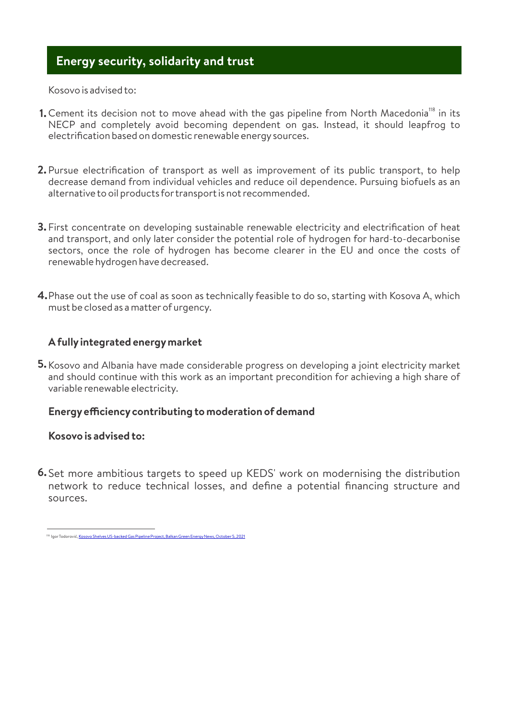### **Energy security, solidarity and trust**

Kosovo is advised to:

- **1.** Cement its decision not to move ahead with the gas pipeline from North Macedonia<sup>118</sup> in its NECP and completely avoid becoming dependent on gas. Instead, it should leapfrog to electrification based on domestic renewable energysources.
- Pursue electrification of transport as well as improvement of its public transport, to help **2.** decrease demand from individual vehicles and reduce oil dependence. Pursuing biofuels as an alternative to oil products fortransport is not recommended.
- First concentrate on developing sustainable renewable electricity and electrification of heat **3.** and transport, and only later consider the potential role of hydrogen for hard-to-decarbonise sectors, once the role of hydrogen has become clearer in the EU and once the costs of renewable hydrogen have decreased.
- Phase out the use of coal as soon as technically feasible to do so, starting with Kosova A, which **4.** must be closed as a matterof urgency.

#### **A fullyintegrated energymarket**

**5.** Kosovo and Albania have made considerable progress on developing a joint electricity market and should continue with this work as an important precondition for achieving a high share of variable renewable electricity.

#### **Energyeciencycontributing to moderation of demand**

#### **Kosovo is advised to:**

Set more ambitious targets to speed up KEDS' work on modernising the distribution **6.**network to reduce technical losses, and define a potential financing structure and sources.

<sup>118</sup> IgorTodorović<u>, Kosovo Shelves US-backed Gas Pipeline Project, Balkan Green Energy News, October 5, 2021</u>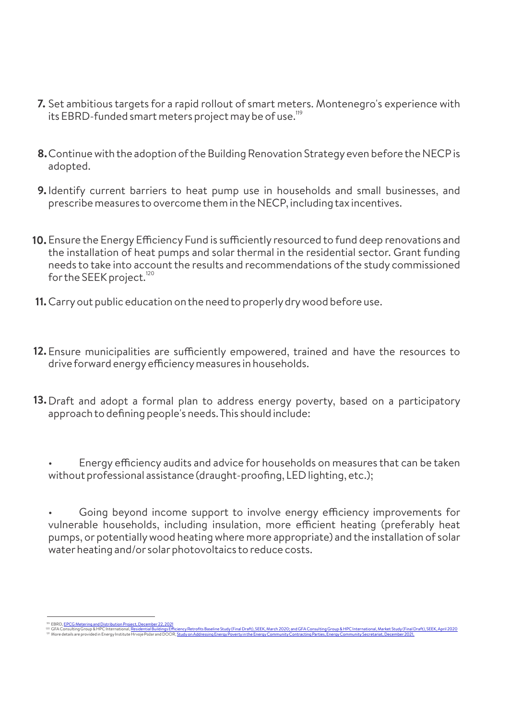- Set ambitious targets for a rapid rollout of smart meters. Montenegro's experience with **7.** its EBRD-funded smart meters project may be of use.<sup>119</sup>
- Continue with the adoption of the Building Renovation Strategyeven before the NECP is **8.** adopted.
- **9.** Identify current barriers to heat pump use in households and small businesses, and prescribe measures to overcome them in the NECP, including tax incentives.
- **10.** Ensure the Energy Efficiency Fund is sufficiently resourced to fund deep renovations and the installation of heat pumps and solar thermal in the residential sector. Grant funding needs to take into account the results and recommendations of the study commissioned for the SEEK project.<sup>12</sup>
- **11.** Carry out public education on the need to properly dry wood before use.
- **12.** Ensure municipalities are sufficiently empowered, trained and have the resources to drive forward energy efficiency measures in households.
- **13.** Draft and adopt a formal plan to address energy poverty, based on a participatory approach to defining people's needs. This should include:

Energy efficiency audits and advice for households on measures that can be taken without professional assistance (draught-proofing, LED lighting, etc.);

Going beyond income support to involve energy efficiency improvements for vulnerable households, including insulation, more efficient heating (preferably heat pumps, or potentiallywood heating where more appropriate) and the installation of solar water heating and/or solar photovoltaics to reduce costs.

<sup>&</sup>lt;sup>119</sup> EBRD, <u>EPCG Metering and Distribution Project, December 22, 2021</u><br><sup>120</sup> GFA Consulting Group & HPC International, <u>Residential Buildings Eff</u><br><sup>121</sup> More details are provided in Energy Institute Hryoie Požar and DOO

GFA Consulting Group & HPC International, <u>Residential Buildings Efficiency Retrofits Baseline Study (Final Draft), SEEK, March 2020; and GFA Consulting Group & HPC International, Market Study (Final Draft), SEEK, April 20</u>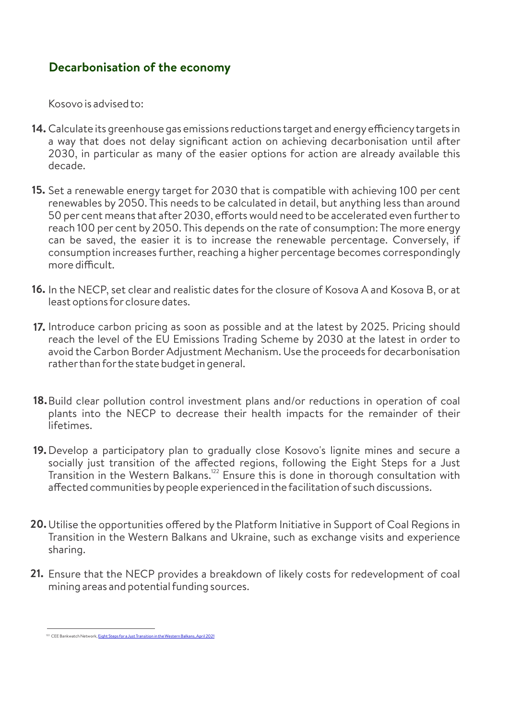### **Decarbonisation of the economy**

Kosovo is advised to:

- **14.** Calculate its greenhouse gas emissions reductions target and energy efficiency targets in a way that does not delay significant action on achieving decarbonisation until after 2030, in particular as many of the easier options for action are already available this decade.
- **15.** Set a renewable energy target for 2030 that is compatible with achieving 100 per cent renewables by 2050. This needs to be calculated in detail, but anything less than around 50 per cent means that after 2030, efforts would need to be accelerated even further to reach 100 per cent by 2050. This depends on the rate of consumption: The more energy can be saved, the easier it is to increase the renewable percentage. Conversely, if consumption increases further, reaching a higher percentage becomes correspondingly more difficult.
- **16.** In the NECP, set clear and realistic dates for the closure of Kosova A and Kosova B, or at least options for closure dates.
- **17.** Introduce carbon pricing as soon as possible and at the latest by 2025. Pricing should reach the level of the EU Emissions Trading Scheme by 2030 at the latest in order to avoid the Carbon Border Adjustment Mechanism. Use the proceeds for decarbonisation ratherthan forthe state budget in general.
- **18.** Build clear pollution control investment plans and/or reductions in operation of coal plants into the NECP to decrease their health impacts for the remainder of their lifetimes.
- **19.** Develop a participatory plan to gradually close Kosovo's lignite mines and secure a socially just transition of the affected regions, following the Eight Steps for a Just Transition in the Western Balkans.<sup>122</sup> Ensure this is done in thorough consultation with affected communities by people experienced in the facilitation of such discussions.
- **20.** Utilise the opportunities offered by the Platform Initiative in Support of Coal Regions in Transition in the Western Balkans and Ukraine, such as exchange visits and experience sharing.
- Ensure that the NECP provides a breakdown of likely costs for redevelopment of coal **21.** mining areas and potential funding sources.

<sup>&</sup>lt;sup>122</sup> CEE Bankwatch Network, **Eight Steps for a Just Transition in the Western Balkans**, April 2021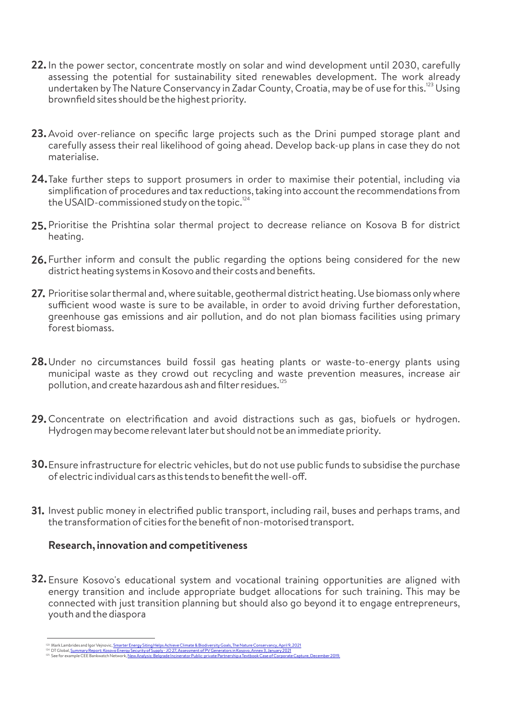- **22.** In the power sector, concentrate mostly on solar and wind development until 2030, carefully assessing the potential for sustainability sited renewables development. The work already undertaken by The Nature Conservancy in Zadar County, Croatia, may be of use for this.<sup>123</sup> Using brownfield sites should be the highest priority.
- Avoid over-reliance on specific large projects such as the Drini pumped storage plant and **23.** carefully assess their real likelihood of going ahead. Develop back-up plans in case they do not materialise.
- **24.**Take further steps to support prosumers in order to maximise their potential, including via simplification of procedures and tax reductions, taking into account the recommendations from the USAID-commissioned study on the topic. $^{124}$
- **25.** Prioritise the Prishtina solar thermal project to decrease reliance on Kosova B for district heating.
- Further inform and consult the public regarding the options being considered for the new **26.** district heating systems in Kosovo and their costs and benefits.
- Prioritise solarthermal and, where suitable, geothermal district heating. Use biomass onlywhere **27.** sufficient wood waste is sure to be available, in order to avoid driving further deforestation, greenhouse gas emissions and air pollution, and do not plan biomass facilities using primary forest biomass.
- Under no circumstances build fossil gas heating plants or waste-to-energy plants using **28.** municipal waste as they crowd out recycling and waste prevention measures, increase air pollution, and create hazardous ash and filter residues.<sup>125</sup>
- Concentrate on electrification and avoid distractions such as gas, biofuels or hydrogen. **29.** Hydrogen maybecome relevant laterbut should not be an immediate priority.
- Ensure infrastructure for electric vehicles, but do not use public funds to subsidise the purchase **30.** of electric individual cars as this tends to benefit the well-off
- Invest public money in electrified public transport, including rail, buses and perhaps trams, and **31.** the transformation of cities forthe benefit of non-motorised transport.

#### **Research, innovation and competitiveness**

Ensure Kosovo's educational system and vocational training opportunities are aligned with **32.**energy transition and include appropriate budget allocations for such training. This may be connected with just transition planning but should also go beyond it to engage entrepreneurs, youth and the diaspora

<sup>&</sup>lt;sup>123</sup> Mark Lambrides and Igor Vejnovic, <u>Smarter Energy Siting Helps Achieve Climate & Biodiversity Goals, The Nature Conservancy, April 9, 2021<br><sup>124</sup> DT Global, <u>Summary Report: Kosovo Energy Security of Supply - JO 27, A</u></u>

<sup>&</sup>lt;sup>125</sup> See for example CEE Bankwatch Network, <u>New Analysis: Belgrade Incinerator Public-private Partnership a Textbook Case of Corporate Capture, December 2019.</u>